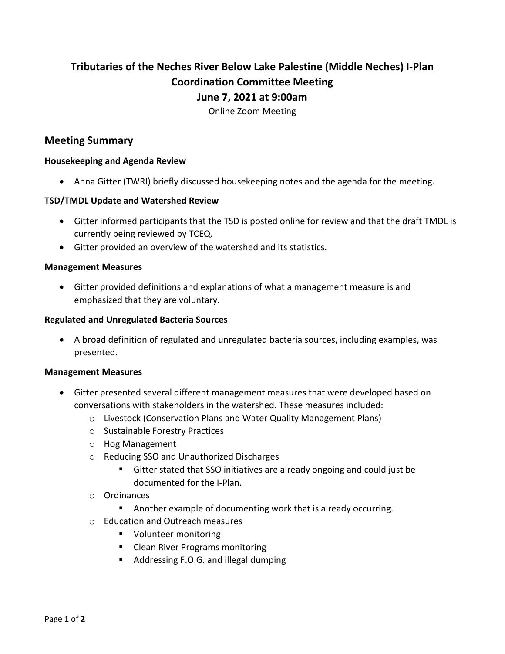# **Tributaries of the Neches River Below Lake Palestine (Middle Neches) I-Plan Coordination Committee Meeting June 7, 2021 at 9:00am**

Online Zoom Meeting

## **Meeting Summary**

## **Housekeeping and Agenda Review**

• Anna Gitter (TWRI) briefly discussed housekeeping notes and the agenda for the meeting.

## **TSD/TMDL Update and Watershed Review**

- Gitter informed participants that the TSD is posted online for review and that the draft TMDL is currently being reviewed by TCEQ.
- Gitter provided an overview of the watershed and its statistics.

#### **Management Measures**

• Gitter provided definitions and explanations of what a management measure is and emphasized that they are voluntary.

#### **Regulated and Unregulated Bacteria Sources**

• A broad definition of regulated and unregulated bacteria sources, including examples, was presented.

#### **Management Measures**

- Gitter presented several different management measures that were developed based on conversations with stakeholders in the watershed. These measures included:
	- o Livestock (Conservation Plans and Water Quality Management Plans)
	- o Sustainable Forestry Practices
	- o Hog Management
	- o Reducing SSO and Unauthorized Discharges
		- Gitter stated that SSO initiatives are already ongoing and could just be documented for the I-Plan.
	- o Ordinances
		- Another example of documenting work that is already occurring.
	- o Education and Outreach measures
		- **U** Volunteer monitoring
		- **EXEC** Clean River Programs monitoring
		- Addressing F.O.G. and illegal dumping